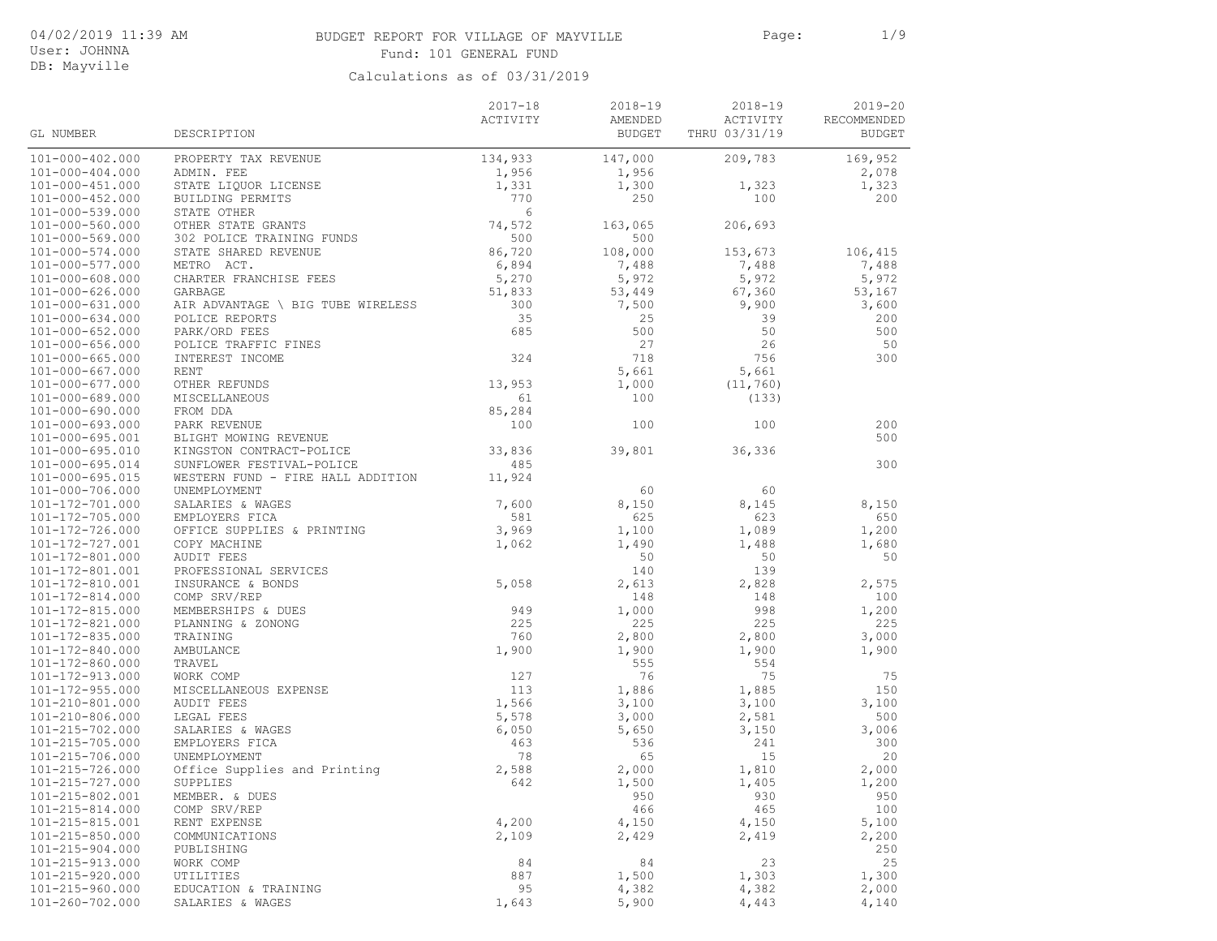# BUDGET REPORT FOR VILLAGE OF MAYVILLE Page: 1/9 Fund: 101 GENERAL FUND

User: JOHNNA DB: Mayville

|                                    |                                   | $2017 - 18$ | $2018 - 19$   | 2018-19       | $2019 - 20$   |
|------------------------------------|-----------------------------------|-------------|---------------|---------------|---------------|
|                                    |                                   | ACTIVITY    | AMENDED       | ACTIVITY      | RECOMMENDED   |
| GL NUMBER                          | DESCRIPTION                       |             | <b>BUDGET</b> | THRU 03/31/19 | <b>BUDGET</b> |
| $101 - 000 - 402.000$              | PROPERTY TAX REVENUE              | 134,933     | 147,000       | 209,783       | 169,952       |
| $101 - 000 - 404.000$              | ADMIN. FEE                        | 1,956       | 1,956         |               | 2,078         |
| $101 - 000 - 451.000$              | STATE LIQUOR LICENSE              | 1,331       | 1,300         | 1,323         | 1,323         |
| $101 - 000 - 452.000$              | BUILDING PERMITS                  | 770         | 250           | 100           | 200           |
| 101-000-539.000                    | STATE OTHER                       | 6           |               |               |               |
| 101-000-560.000                    | OTHER STATE GRANTS                | 74,572      | 163,065       | 206,693       |               |
| $101 - 000 - 569.000$              | 302 POLICE TRAINING FUNDS         | 500         | 500           |               |               |
| 101-000-574.000                    | STATE SHARED REVENUE              | 86,720      | 108,000       | 153,673       | 106,415       |
| $101 - 000 - 577.000$              | METRO ACT.                        | 6,894       | 7,488         | 7,488         | 7,488         |
| 101-000-608.000                    | CHARTER FRANCHISE FEES            | 5,270       | 5,972         | 5,972         | 5,972         |
| 101-000-626.000                    | GARBAGE                           | 51,833      | 53,449        | 67,360        | 53,167        |
| $101 - 000 - 631.000$              | AIR ADVANTAGE \ BIG TUBE WIRELESS | 300         | 7,500         | 9,900         | 3,600         |
| $101 - 000 - 634.000$              | POLICE REPORTS                    | 35          | 25            | 39            | 200           |
| $101 - 000 - 652.000$              | PARK/ORD FEES                     | 685         | 500           | 50            | 500           |
| $101 - 000 - 656.000$              | POLICE TRAFFIC FINES              |             | 27            | 26            | 50            |
| $101 - 000 - 665.000$              | INTEREST INCOME                   | 324         | 718           | 756           | 300           |
| $101 - 000 - 667.000$              | RENT                              |             | 5,661         | 5,661         |               |
| $101 - 000 - 677.000$              | OTHER REFUNDS                     | 13,953      | 1,000         | (11, 760)     |               |
| 101-000-689.000                    | MISCELLANEOUS                     | 61          | 100           | (133)         |               |
| 101-000-690.000                    | FROM DDA                          | 85,284      |               |               |               |
| $101 - 000 - 693.000$              | PARK REVENUE                      | 100         | 100           | 100           | 200           |
| 101-000-695.001                    | BLIGHT MOWING REVENUE             |             |               |               | 500           |
| 101-000-695.010                    | KINGSTON CONTRACT-POLICE          | 33,836      | 39,801        | 36,336        |               |
| $101 - 000 - 695.014$              | SUNFLOWER FESTIVAL-POLICE         | 485         |               |               | 300           |
| $101 - 000 - 695.015$              | WESTERN FUND - FIRE HALL ADDITION | 11,924      |               |               |               |
| 101-000-706.000                    | UNEMPLOYMENT                      |             | 60            | 60            |               |
| 101-172-701.000                    | SALARIES & WAGES                  | 7,600       | 8,150         | 8,145         | 8,150         |
| 101-172-705.000                    | EMPLOYERS FICA                    | 581         | 625           | 623           | 650           |
| 101-172-726.000                    | OFFICE SUPPLIES & PRINTING        | 3,969       | 1,100         | 1,089         | 1,200         |
| 101-172-727.001                    | COPY MACHINE                      | 1,062       | 1,490         | 1,488         | 1,680         |
| 101-172-801.000                    | <b>AUDIT FEES</b>                 |             | 50            | 50            | 50            |
| 101-172-801.001                    | PROFESSIONAL SERVICES             |             | 140           | 139           |               |
| 101-172-810.001                    | INSURANCE & BONDS                 | 5,058       | 2,613         | 2,828         | 2,575         |
| 101-172-814.000                    | COMP SRV/REP                      |             | 148           | 148           | 100           |
| 101-172-815.000                    | MEMBERSHIPS & DUES                | 949         | 1,000         | 998           | 1,200         |
| 101-172-821.000                    | PLANNING & ZONONG                 | 225         | 225           | 225           | 225           |
| 101-172-835.000                    | TRAINING                          | 760         | 2,800         | 2,800         | 3,000         |
| 101-172-840.000                    | AMBULANCE                         | 1,900       | 1,900         | 1,900         | 1,900         |
| 101-172-860.000                    | TRAVEL                            |             | 555           | 554           |               |
| 101-172-913.000                    | WORK COMP                         | 127         | 76            | 75            | 75            |
| $101 - 172 - 955.000$              | MISCELLANEOUS EXPENSE             | 113         | 1,886         | 1,885         | 150           |
| 101-210-801.000                    | <b>AUDIT FEES</b>                 | 1,566       | 3,100         | 3,100         | 3,100         |
| 101-210-806.000                    | LEGAL FEES                        | 5,578       | 3,000         | 2,581         | 500           |
| 101-215-702.000                    | SALARIES & WAGES                  | 6,050       | 5,650         | 3,150         | 3,006         |
| 101-215-705.000                    | EMPLOYERS FICA                    | 463         | 536           | 241           | 300           |
|                                    |                                   |             |               |               |               |
| 101-215-706.000<br>101-215-726.000 | UNEMPLOYMENT                      | 78          | 65            | 15            | 20            |
| $101 - 215 - 727.000$              | Office Supplies and Printing      | 2,588       | 2,000         | 1,810         | 2,000         |
|                                    | SUPPLIES                          | 642         | 1,500         | 1,405         | 1,200         |
| 101-215-802.001                    | MEMBER. & DUES                    |             | 950           | 930           | 950           |
| 101-215-814.000                    | COMP SRV/REP                      |             | 466           | 465           | 100           |
| 101-215-815.001                    | RENT EXPENSE                      | 4,200       | 4,150         | 4,150         | 5,100         |
| 101-215-850.000                    | COMMUNICATIONS                    | 2,109       | 2,429         | 2,419         | 2,200         |
| 101-215-904.000                    | PUBLISHING                        |             |               |               | 250           |
| 101-215-913.000                    | WORK COMP                         | 84          | 84            | 23            | 25            |
| $101 - 215 - 920.000$              | UTILITIES                         | 887         | 1,500         | 1,303         | 1,300         |
| $101 - 215 - 960.000$              | EDUCATION & TRAINING              | 95          | 4,382         | 4,382         | 2,000         |
| 101-260-702.000                    | SALARIES & WAGES                  | 1,643       | 5,900         | 4,443         | 4,140         |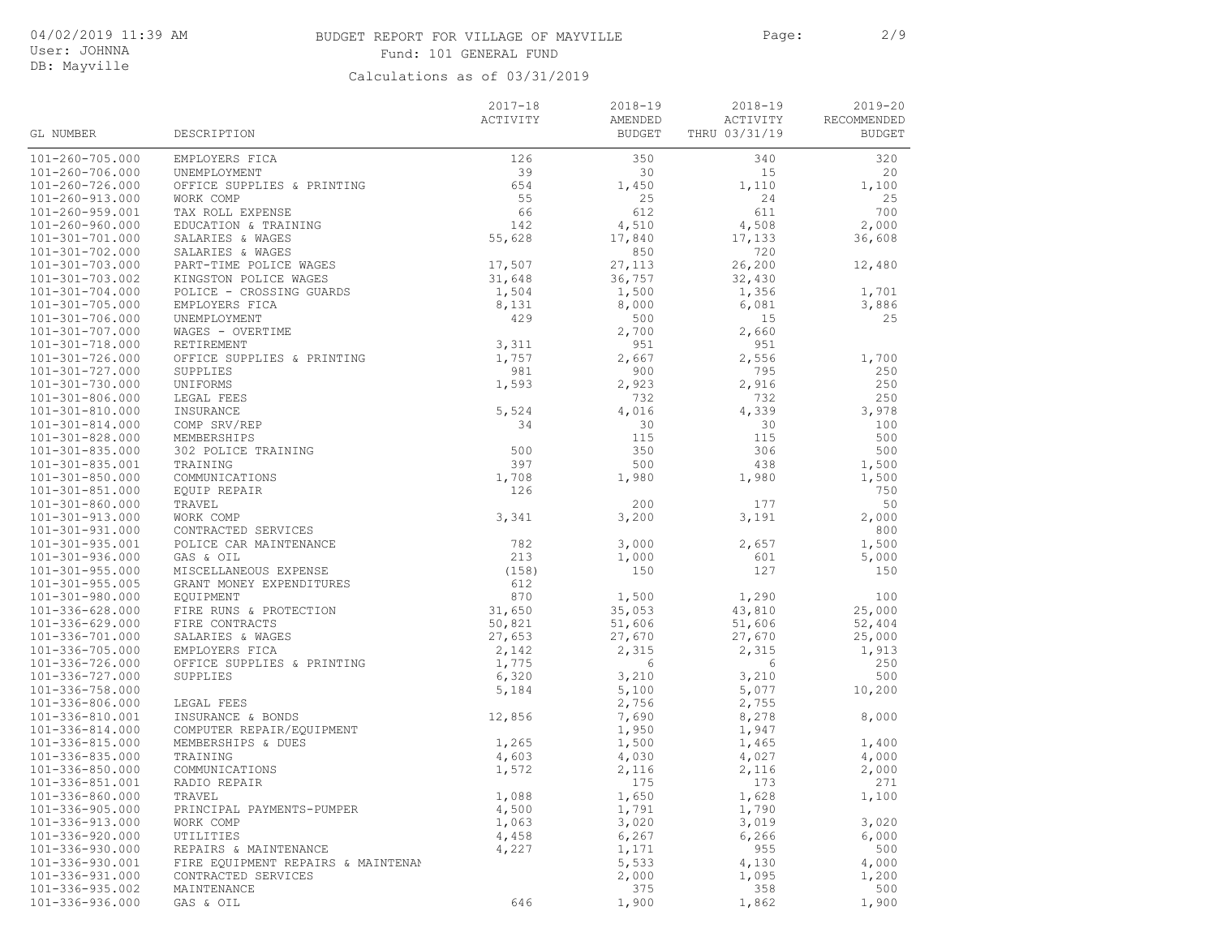# BUDGET REPORT FOR VILLAGE OF MAYVILLE Page: 2/9 Fund: 101 GENERAL FUND

User: JOHNNA DB: Mayville

|                                                |                                      | $2017 - 18$    | $2018 - 19$    | 2018-19        | $2019 - 20$   |
|------------------------------------------------|--------------------------------------|----------------|----------------|----------------|---------------|
|                                                |                                      | ACTIVITY       | AMENDED        | ACTIVITY       | RECOMMENDED   |
| GL NUMBER                                      | DESCRIPTION                          |                | <b>BUDGET</b>  | THRU 03/31/19  | <b>BUDGET</b> |
|                                                |                                      |                |                |                |               |
| 101-260-705.000                                | EMPLOYERS FICA                       | 126            | 350            | 340            | 320           |
| 101-260-706.000                                | UNEMPLOYMENT                         | 39             | 30             | 15             | 20            |
| 101-260-726.000                                | OFFICE SUPPLIES & PRINTING           | 654            | 1,450          | 1,110          | 1,100         |
| 101-260-913.000                                | WORK COMP                            | 55             | 25             | 24             | 25            |
| $101 - 260 - 959.001$                          | TAX ROLL EXPENSE                     | 66<br>142      | 612            | 611            | 700<br>2,000  |
| $101 - 260 - 960.000$<br>$101 - 301 - 701.000$ | EDUCATION & TRAINING                 | 55,628         | 4,510          | 4,508          |               |
| 101-301-702.000                                | SALARIES & WAGES<br>SALARIES & WAGES |                | 17,840<br>850  | 17,133<br>720  | 36,608        |
| 101-301-703.000                                | PART-TIME POLICE WAGES               | 17,507         | 27,113         | 26,200         | 12,480        |
| 101-301-703.002                                | KINGSTON POLICE WAGES                | 31,648         | 36,757         | 32,430         |               |
| $101 - 301 - 704.000$                          | POLICE - CROSSING GUARDS             | 1,504          | 1,500          | 1,356          | 1,701         |
| 101-301-705.000                                | EMPLOYERS FICA                       | 8,131          | 8,000          | 6,081          | 3,886         |
| 101-301-706.000                                | UNEMPLOYMENT                         | 429            | 500            | 15             | 25            |
| 101-301-707.000                                | WAGES - OVERTIME                     |                | 2,700          | 2,660          |               |
| 101-301-718.000                                | RETIREMENT                           | 3,311          | 951            | 951            |               |
| 101-301-726.000                                | OFFICE SUPPLIES & PRINTING           | 1,757          | 2,667          | 2,556          | 1,700         |
| 101-301-727.000                                | SUPPLIES                             | 981            | 900            | 795            | 250           |
| 101-301-730.000                                | UNIFORMS                             | 1,593          | 2,923          | 2,916          | 250           |
| 101-301-806.000                                | LEGAL FEES                           |                | 732            | 732            | 250           |
| 101-301-810.000                                | INSURANCE                            | 5,524          | 4,016          | 4,339          | 3,978         |
| $101 - 301 - 814.000$                          | COMP SRV/REP                         | 34             | 30             | 30             | 100           |
| 101-301-828.000                                | MEMBERSHIPS                          |                | 115            | 115            | 500           |
| $101 - 301 - 835.000$                          | 302 POLICE TRAINING                  | 500            | 350            | 306            | 500           |
| 101-301-835.001                                | TRAINING                             | 397            | 500            | 438            | 1,500         |
| $101 - 301 - 850.000$                          | COMMUNICATIONS                       | 1,708          | 1,980          | 1,980          | 1,500         |
| $101 - 301 - 851.000$                          | EQUIP REPAIR                         | 126            |                |                | 750           |
| $101 - 301 - 860.000$                          | TRAVEL                               |                | 200            | 177            | 50            |
| 101-301-913.000                                | WORK COMP                            | 3,341          | 3,200          | 3,191          | 2,000         |
| 101-301-931.000                                | CONTRACTED SERVICES                  |                |                |                | 800           |
| 101-301-935.001                                | POLICE CAR MAINTENANCE               | 782            | 3,000          | 2,657          | 1,500         |
| 101-301-936.000                                | GAS & OIL                            | 213            | 1,000          | 601            | 5,000         |
| $101 - 301 - 955.000$                          | MISCELLANEOUS EXPENSE                | (158)          | 150            | 127            | 150           |
| $101 - 301 - 955.005$                          | GRANT MONEY EXPENDITURES             | 612            |                |                |               |
| 101-301-980.000                                | EQUIPMENT                            | 870            | 1,500          | 1,290          | 100           |
| $101 - 336 - 628.000$                          | FIRE RUNS & PROTECTION               | 31,650         | 35,053         | 43,810         | 25,000        |
| 101-336-629.000                                | FIRE CONTRACTS                       | 50,821         | 51,606         | 51,606         | 52,404        |
| 101-336-701.000                                | SALARIES & WAGES                     | 27,653         | 27,670         | 27,670         | 25,000        |
| 101-336-705.000                                | EMPLOYERS FICA                       | 2,142          | 2,315          | 2,315          | 1,913         |
| 101-336-726.000                                | OFFICE SUPPLIES & PRINTING           | 1,775          | 6              | 6              | 250           |
| 101-336-727.000                                | SUPPLIES                             | 6,320          | 3,210          | 3,210          | 500           |
| 101-336-758.000                                |                                      | 5,184          | 5,100          | 5,077          | 10,200        |
| 101-336-806.000                                | LEGAL FEES                           |                | 2,756          | 2,755          |               |
| 101-336-810.001                                | INSURANCE & BONDS                    | 12,856         | 7,690          | 8,278          | 8,000         |
| 101-336-814.000                                | COMPUTER REPAIR/EQUIPMENT            |                | 1,950          | 1,947          |               |
| 101-336-815.000                                | MEMBERSHIPS & DUES                   | 1,265          | 1,500          | 1,465          | 1,400         |
| 101-336-835.000                                | TRAINING                             | 4,603          | 4,030          | 4,027          | 4,000         |
| 101-336-850.000                                | COMMUNICATIONS                       | 1,572          | 2,116          | 2,116          | 2,000         |
| 101-336-851.001                                | RADIO REPAIR                         |                | 175            | 173            | 271           |
| 101-336-860.000<br>$101 - 336 - 905.000$       | TRAVEL<br>PRINCIPAL PAYMENTS-PUMPER  | 1,088          | 1,650          | 1,628          | 1,100         |
| 101-336-913.000                                |                                      | 4,500          | 1,791<br>3,020 | 1,790          | 3,020         |
| 101-336-920.000                                | WORK COMP<br>UTILITIES               | 1,063<br>4,458 | 6, 267         | 3,019<br>6,266 | 6,000         |
| 101-336-930.000                                | REPAIRS & MAINTENANCE                | 4,227          | 1,171          | 955            | 500           |
| 101-336-930.001                                | FIRE EQUIPMENT REPAIRS & MAINTENAM   |                | 5,533          | 4,130          | 4,000         |
| 101-336-931.000                                | CONTRACTED SERVICES                  |                | 2,000          | 1,095          | 1,200         |
| $101 - 336 - 935.002$                          | MAINTENANCE                          |                | 375            | 358            | 500           |
| 101-336-936.000                                | GAS & OIL                            | 646            | 1,900          | 1,862          | 1,900         |
|                                                |                                      |                |                |                |               |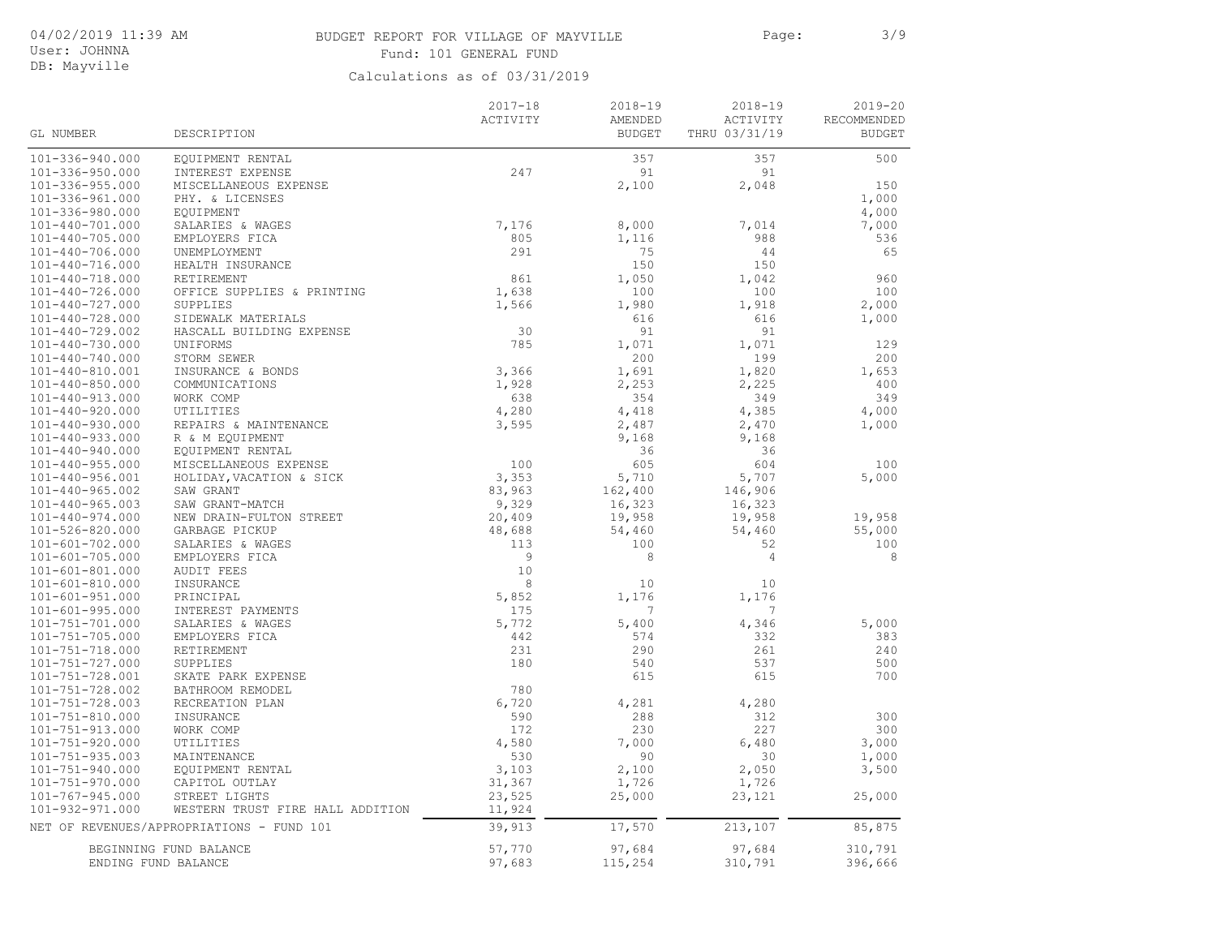# BUDGET REPORT FOR VILLAGE OF MAYVILLE FOR Page: 3/9 Fund: 101 GENERAL FUND

User: JOHNNA DB: Mayville

| GL NUMBER             | DESCRIPTION                               | $2017 - 18$<br>ACTIVITY | $2018 - 19$<br>AMENDED<br><b>BUDGET</b> | $2018 - 19$<br>ACTIVITY<br>THRU 03/31/19 | $2019 - 20$<br>RECOMMENDED<br><b>BUDGET</b> |
|-----------------------|-------------------------------------------|-------------------------|-----------------------------------------|------------------------------------------|---------------------------------------------|
| 101-336-940.000       | EQUIPMENT RENTAL                          |                         | 357                                     | 357                                      | 500                                         |
| 101-336-950.000       | INTEREST EXPENSE                          | 247                     | 91                                      | 91                                       |                                             |
| $101 - 336 - 955.000$ | MISCELLANEOUS EXPENSE                     |                         | 2,100                                   | 2,048                                    | 150                                         |
| 101-336-961.000       | PHY. & LICENSES                           |                         |                                         |                                          | 1,000                                       |
| 101-336-980.000       | EQUIPMENT                                 |                         |                                         |                                          | 4,000                                       |
| $101 - 440 - 701.000$ | SALARIES & WAGES                          | 7,176                   | 8,000                                   | 7,014                                    | 7,000                                       |
| $101 - 440 - 705.000$ | EMPLOYERS FICA                            | 805                     | 1,116                                   | 988                                      | 536                                         |
| $101 - 440 - 706.000$ | UNEMPLOYMENT                              | 291                     | 75                                      | 44                                       | 65                                          |
| $101 - 440 - 716.000$ | HEALTH INSURANCE                          |                         | 150                                     | 150                                      |                                             |
| $101 - 440 - 718.000$ | RETIREMENT                                | 861                     | 1,050                                   | 1,042                                    | 960                                         |
| $101 - 440 - 726.000$ | OFFICE SUPPLIES & PRINTING                | 1,638                   | 100                                     | 100                                      | 100                                         |
| $101 - 440 - 727.000$ | SUPPLIES                                  | 1,566                   | 1,980                                   | 1,918                                    | 2,000                                       |
| $101 - 440 - 728.000$ | SIDEWALK MATERIALS                        |                         | 616                                     | 616                                      | 1,000                                       |
| 101-440-729.002       | HASCALL BUILDING EXPENSE                  | 30                      | 91                                      | 91                                       |                                             |
| $101 - 440 - 730.000$ | UNIFORMS                                  | 785                     | 1,071                                   | 1,071                                    | 129                                         |
| $101 - 440 - 740.000$ | STORM SEWER                               |                         | 200                                     | 199                                      | 200                                         |
| 101-440-810.001       | INSURANCE & BONDS                         | 3,366                   | 1,691                                   | 1,820                                    | 1,653                                       |
| $101 - 440 - 850.000$ | COMMUNICATIONS                            | 1,928                   | 2,253                                   | 2,225                                    | 400                                         |
| $101 - 440 - 913.000$ | WORK COMP                                 | 638                     | 354                                     | 349                                      | 349                                         |
| $101 - 440 - 920.000$ | UTILITIES                                 | 4,280                   | 4,418                                   | 4,385                                    | 4,000                                       |
| $101 - 440 - 930.000$ | REPAIRS & MAINTENANCE                     | 3,595                   | 2,487                                   | 2,470                                    | 1,000                                       |
| $101 - 440 - 933.000$ | R & M EQUIPMENT                           |                         | 9,168                                   | 9,168                                    |                                             |
| $101 - 440 - 940.000$ | EQUIPMENT RENTAL                          |                         | 36                                      | 36                                       |                                             |
| $101 - 440 - 955.000$ | MISCELLANEOUS EXPENSE                     | 100                     | 605                                     | 604                                      | 100                                         |
| $101 - 440 - 956.001$ | HOLIDAY, VACATION & SICK                  | 3,353                   | 5,710                                   | 5,707                                    | 5,000                                       |
| $101 - 440 - 965.002$ | SAW GRANT                                 | 83,963                  | 162,400                                 | 146,906                                  |                                             |
| $101 - 440 - 965.003$ | SAW GRANT-MATCH                           | 9,329                   | 16,323                                  | 16,323                                   |                                             |
| $101 - 440 - 974.000$ | NEW DRAIN-FULTON STREET                   | 20,409                  | 19,958                                  | 19,958                                   | 19,958                                      |
| 101-526-820.000       | GARBAGE PICKUP                            | 48,688                  | 54,460                                  | 54,460                                   | 55,000                                      |
| $101 - 601 - 702.000$ | SALARIES & WAGES                          | 113                     | 100                                     | 52                                       | 100                                         |
| $101 - 601 - 705.000$ | EMPLOYERS FICA                            | 9                       | 8                                       | $\overline{4}$                           | 8                                           |
| $101 - 601 - 801.000$ | <b>AUDIT FEES</b>                         | 10                      |                                         |                                          |                                             |
| 101-601-810.000       | INSURANCE                                 | 8                       | 10                                      | 10                                       |                                             |
| $101 - 601 - 951.000$ | PRINCIPAL                                 | 5,852                   | 1,176                                   | 1,176                                    |                                             |
| $101 - 601 - 995.000$ | INTEREST PAYMENTS                         | 175                     | 7                                       | 7                                        |                                             |
| 101-751-701.000       | SALARIES & WAGES                          | 5,772                   | 5,400                                   | 4,346                                    | 5,000                                       |
| $101 - 751 - 705.000$ | EMPLOYERS FICA                            | 442                     | 574                                     | 332                                      | 383                                         |
| $101 - 751 - 718.000$ | RETIREMENT                                | 231                     | 290                                     | 261                                      | 240                                         |
| 101-751-727.000       | SUPPLIES                                  | 180                     | 540                                     | 537                                      | 500                                         |
| 101-751-728.001       | SKATE PARK EXPENSE                        |                         | 615                                     | 615                                      | 700                                         |
| 101-751-728.002       | BATHROOM REMODEL                          | 780                     |                                         |                                          |                                             |
| 101-751-728.003       | RECREATION PLAN                           | 6,720                   | 4,281                                   | 4,280                                    |                                             |
| $101 - 751 - 810.000$ | INSURANCE                                 | 590                     | 288                                     | 312                                      | 300                                         |
| $101 - 751 - 913.000$ | WORK COMP                                 | 172                     | 230                                     | 227                                      | 300                                         |
| $101 - 751 - 920.000$ | UTILITIES                                 | 4,580                   | 7,000                                   | 6,480                                    | 3,000                                       |
| $101 - 751 - 935.003$ | MAINTENANCE                               | 530                     | 90                                      | 30                                       | 1,000                                       |
| 101-751-940.000       | EQUIPMENT RENTAL                          | 3,103                   | 2,100                                   | 2,050                                    | 3,500                                       |
| $101 - 751 - 970.000$ | CAPITOL OUTLAY                            | 31,367                  | 1,726                                   | 1,726                                    |                                             |
| $101 - 767 - 945.000$ | STREET LIGHTS                             | 23,525                  | 25,000                                  | 23,121                                   | 25,000                                      |
| 101-932-971.000       | WESTERN TRUST FIRE HALL ADDITION          | 11,924                  |                                         |                                          |                                             |
|                       | NET OF REVENUES/APPROPRIATIONS - FUND 101 | 39,913                  | 17,570                                  | 213,107                                  | 85,875                                      |
| ENDING FUND BALANCE   | BEGINNING FUND BALANCE                    | 57,770<br>97,683        | 97,684<br>115,254                       | 97,684<br>310,791                        | 310,791<br>396,666                          |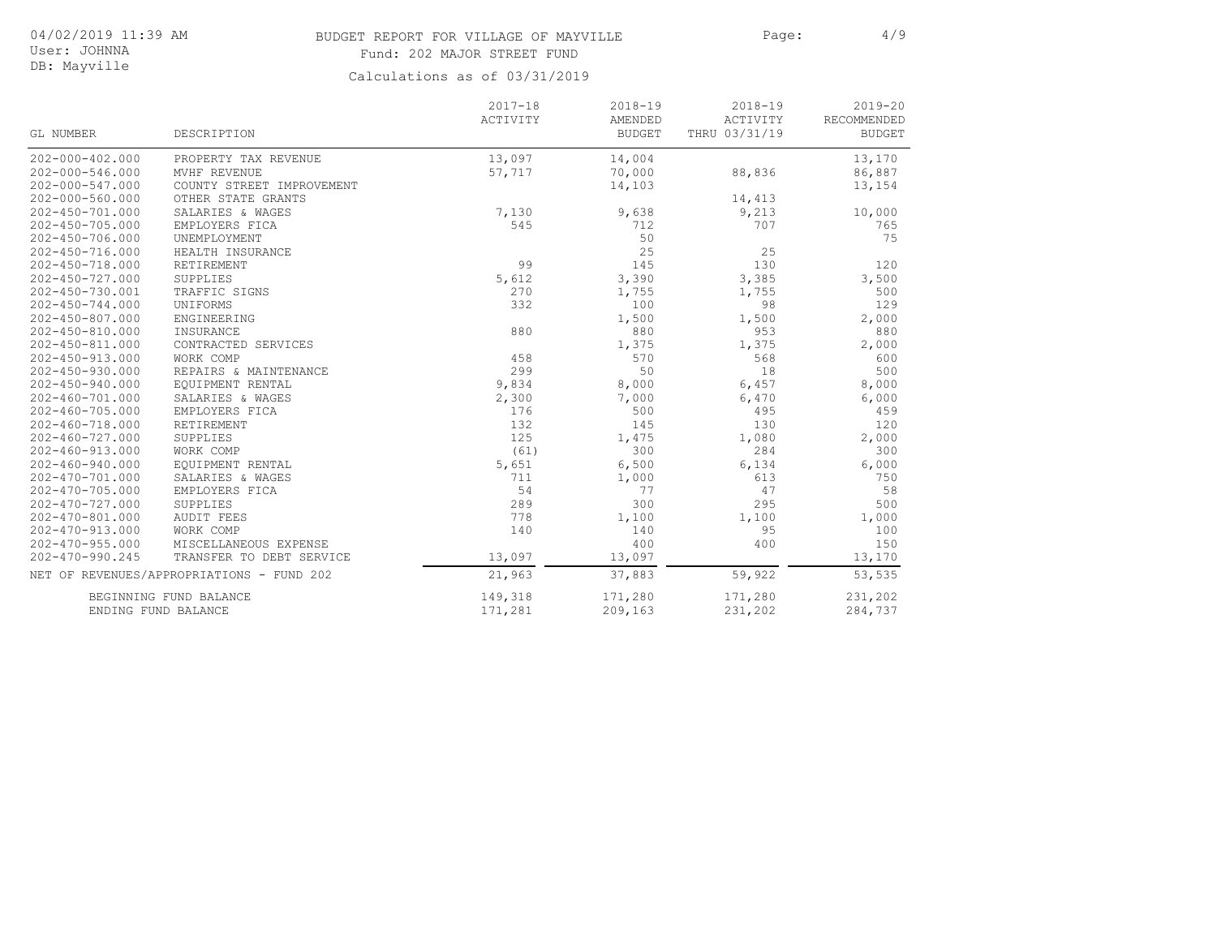# BUDGET REPORT FOR VILLAGE OF MAYVILLE Page: 4/9 Fund: 202 MAJOR STREET FUND

User: JOHNNA DB: Mayville

|                       |                                           | $2017 - 18$ | $2018 - 19$   | $2018 - 19$   | $2019 - 20$   |
|-----------------------|-------------------------------------------|-------------|---------------|---------------|---------------|
|                       |                                           | ACTIVITY    | AMENDED       | ACTIVITY      | RECOMMENDED   |
| GL NUMBER             | DESCRIPTION                               |             | <b>BUDGET</b> | THRU 03/31/19 | <b>BUDGET</b> |
| $202 - 000 - 402.000$ | PROPERTY TAX REVENUE                      | 13,097      | 14,004        |               | 13,170        |
| $202 - 000 - 546.000$ | MVHF REVENUE                              | 57,717      | 70,000        | 88,836        | 86,887        |
| 202-000-547.000       | COUNTY STREET IMPROVEMENT                 |             | 14,103        |               | 13,154        |
| $202 - 000 - 560.000$ | OTHER STATE GRANTS                        |             |               | 14,413        |               |
| $202 - 450 - 701.000$ | SALARIES & WAGES                          | 7,130       | 9,638         | 9,213         | 10,000        |
| 202-450-705.000       | EMPLOYERS FICA                            | 545         | 712           | 707           | 765           |
| $202 - 450 - 706.000$ | UNEMPLOYMENT                              |             | 50            |               | 75            |
| $202 - 450 - 716.000$ | HEALTH INSURANCE                          |             | 25            | 25            |               |
| $202 - 450 - 718.000$ | RETIREMENT                                | 99          | 145           | 130           | 120           |
| $202 - 450 - 727.000$ | SUPPLIES                                  | 5,612       | 3,390         | 3,385         | 3,500         |
| 202-450-730.001       | TRAFFIC SIGNS                             | 270         | 1,755         | 1,755         | 500           |
| $202 - 450 - 744.000$ | UNIFORMS                                  | 332         | 100           | 98            | 129           |
| $202 - 450 - 807.000$ | ENGINEERING                               |             | 1,500         | 1,500         | 2,000         |
| 202-450-810.000       | INSURANCE                                 | 880         | 880           | 953           | 880           |
| $202 - 450 - 811.000$ | CONTRACTED SERVICES                       |             | 1,375         | 1,375         | 2,000         |
| 202-450-913.000       | WORK COMP                                 | 458         | 570           | 568           | 600           |
| $202 - 450 - 930.000$ | REPAIRS & MAINTENANCE                     | 299         | 50            | 18            | 500           |
| $202 - 450 - 940.000$ | EQUIPMENT RENTAL                          | 9,834       | 8,000         | 6,457         | 8,000         |
| 202-460-701.000       | SALARIES & WAGES                          | 2,300       | 7,000         | 6,470         | 6,000         |
| $202 - 460 - 705.000$ | EMPLOYERS FICA                            | 176         | 500           | 495           | 459           |
| $202 - 460 - 718.000$ | RETIREMENT                                | 132         | 145           | 130           | 120           |
| $202 - 460 - 727.000$ | SUPPLIES                                  | 125         | 1,475         | 1,080         | 2,000         |
| $202 - 460 - 913.000$ | WORK COMP                                 | (61)        | 300           | 284           | 300           |
| $202 - 460 - 940.000$ | EQUIPMENT RENTAL                          | 5,651       | 6,500         | 6,134         | 6,000         |
| $202 - 470 - 701.000$ | SALARIES & WAGES                          | 711         | 1,000         | 613           | 750           |
| $202 - 470 - 705.000$ | EMPLOYERS FICA                            | 54          | 77            | 47            | 58            |
| $202 - 470 - 727.000$ | SUPPLIES                                  | 289         | 300           | 295           | 500           |
| $202 - 470 - 801.000$ | <b>AUDIT FEES</b>                         | 778         | 1,100         | 1,100         | 1,000         |
| $202 - 470 - 913.000$ | WORK COMP                                 | 140         | 140           | 95            | 100           |
| $202 - 470 - 955.000$ | MISCELLANEOUS EXPENSE                     |             | 400           | 400           | 150           |
| 202-470-990.245       | TRANSFER TO DEBT SERVICE                  | 13,097      | 13,097        |               | 13,170        |
|                       | NET OF REVENUES/APPROPRIATIONS - FUND 202 | 21,963      | 37,883        | 59,922        | 53,535        |
|                       | BEGINNING FUND BALANCE                    | 149,318     | 171,280       | 171,280       | 231,202       |
|                       | ENDING FUND BALANCE                       | 171,281     | 209,163       | 231,202       | 284,737       |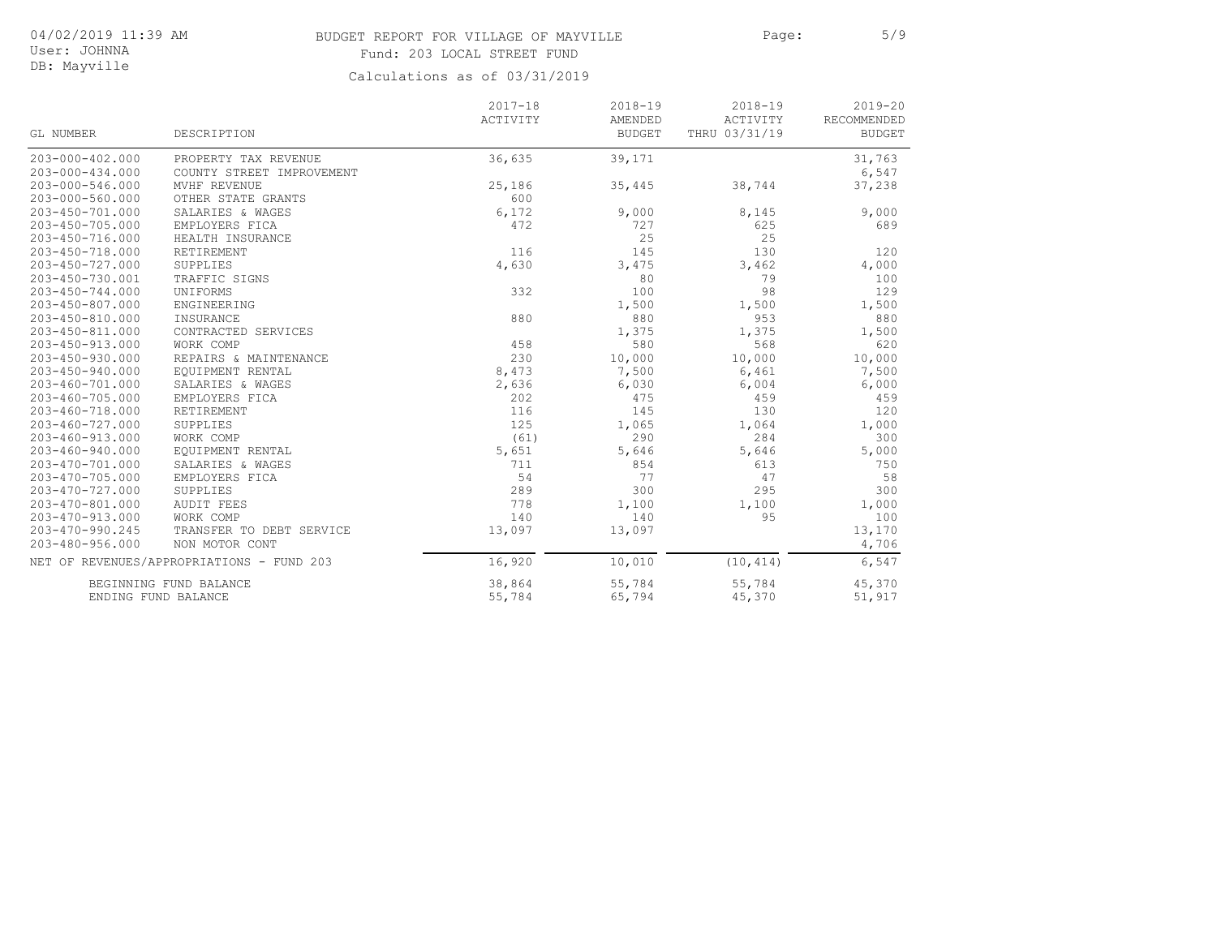# BUDGET REPORT FOR VILLAGE OF MAYVILLE Page: 5/9 Fund: 203 LOCAL STREET FUND

User: JOHNNA DB: Mayville

|                       |                                           | $2017 - 18$ | $2018 - 19$   | $2018 - 19$   | $2019 - 20$                  |
|-----------------------|-------------------------------------------|-------------|---------------|---------------|------------------------------|
| GL NUMBER             | DESCRIPTION                               | ACTIVITY    | AMENDED       | ACTIVITY      | RECOMMENDED<br><b>BUDGET</b> |
|                       |                                           |             | <b>BUDGET</b> | THRU 03/31/19 |                              |
| $203 - 000 - 402.000$ | PROPERTY TAX REVENUE                      | 36,635      | 39,171        |               | 31,763                       |
| $203 - 000 - 434.000$ | COUNTY STREET IMPROVEMENT                 |             |               |               | 6,547                        |
| 203-000-546.000       | MVHF REVENUE                              | 25,186      | 35,445        | 38,744        | 37,238                       |
| $203 - 000 - 560.000$ | OTHER STATE GRANTS                        | 600         |               |               |                              |
| $203 - 450 - 701.000$ | SALARIES & WAGES                          | 6,172       | 9,000         | 8,145         | 9,000                        |
| 203-450-705.000       | EMPLOYERS FICA                            | 472         | 727           | 625           | 689                          |
| 203-450-716.000       | HEALTH INSURANCE                          |             | 25            | 25            |                              |
| 203-450-718.000       | RETIREMENT                                | 116         | 145           | 130           | 120                          |
| $203 - 450 - 727.000$ | SUPPLIES                                  | 4,630       | 3,475         | 3,462         | 4,000                        |
| 203-450-730.001       | TRAFFIC SIGNS                             |             | 80            | 79            | 100                          |
| $203 - 450 - 744.000$ | UNIFORMS                                  | 332         | 100           | 98            | 129                          |
| $203 - 450 - 807.000$ | ENGINEERING                               |             | 1,500         | 1,500         | 1,500                        |
| 203-450-810.000       | INSURANCE                                 | 880         | 880           | 953           | 880                          |
| 203-450-811.000       | CONTRACTED SERVICES                       |             | 1,375         | 1,375         | 1,500                        |
| $203 - 450 - 913.000$ | WORK COMP                                 | 458         | 580           | 568           | 620                          |
| $203 - 450 - 930.000$ | REPAIRS & MAINTENANCE                     | 230         | 10,000        | 10,000        | 10,000                       |
| $203 - 450 - 940.000$ | EQUIPMENT RENTAL                          | 8,473       | 7,500         | 6,461         | 7,500                        |
| $203 - 460 - 701.000$ | SALARIES & WAGES                          | 2,636       | 6,030         | 6,004         | 6,000                        |
| $203 - 460 - 705.000$ | EMPLOYERS FICA                            | 202         | 475           | 459           | 459                          |
| 203-460-718.000       | RETIREMENT                                | 116         | 145           | 130           | 120                          |
| $203 - 460 - 727.000$ | SUPPLIES                                  | 125         | 1,065         | 1,064         | 1,000                        |
| $203 - 460 - 913.000$ | WORK COMP                                 | (61)        | 290           | 284           | 300                          |
| $203 - 460 - 940.000$ | EQUIPMENT RENTAL                          | 5,651       | 5,646         | 5,646         | 5,000                        |
| 203-470-701.000       | SALARIES & WAGES                          | 711         | 854           | 613           | 750                          |
| $203 - 470 - 705.000$ | EMPLOYERS FICA                            | 54          | 77            | 47            | 58                           |
| $203 - 470 - 727.000$ | SUPPLIES                                  | 289         | 300           | 295           | 300                          |
| 203-470-801.000       | <b>AUDIT FEES</b>                         | 778         | 1,100         | 1,100         | 1,000                        |
| $203 - 470 - 913.000$ | WORK COMP                                 | 140         | 140           | 95            | 100                          |
| 203-470-990.245       | TRANSFER TO DEBT SERVICE                  | 13,097      | 13,097        |               | 13,170                       |
| $203 - 480 - 956.000$ | NON MOTOR CONT                            |             |               |               | 4,706                        |
|                       | NET OF REVENUES/APPROPRIATIONS - FUND 203 | 16,920      | 10,010        | (10, 414)     | 6,547                        |
|                       | BEGINNING FUND BALANCE                    | 38,864      | 55,784        | 55,784        | 45,370                       |
|                       | ENDING FUND BALANCE                       | 55,784      | 65,794        | 45,370        | 51,917                       |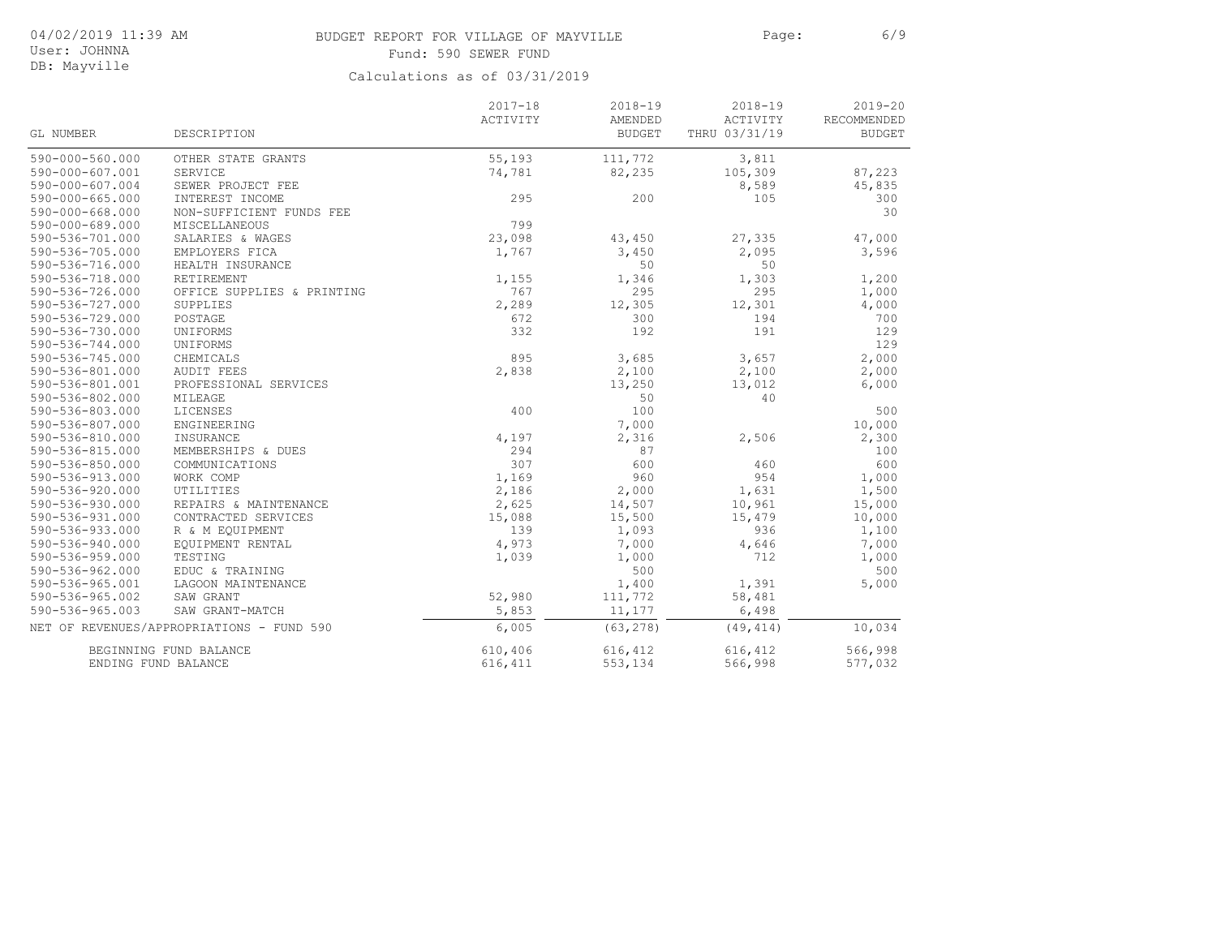# BUDGET REPORT FOR VILLAGE OF MAYVILLE FOR Page: 6/9 Fund: 590 SEWER FUND

User: JOHNNA DB: Mayville

|                       |                                           | $2017 - 18$ | $2018 - 19$              | $2018 - 19$               | $2019 - 20$                  |
|-----------------------|-------------------------------------------|-------------|--------------------------|---------------------------|------------------------------|
| <b>GL NUMBER</b>      | DESCRIPTION                               | ACTIVITY    | AMENDED<br><b>BUDGET</b> | ACTIVITY<br>THRU 03/31/19 | RECOMMENDED<br><b>BUDGET</b> |
| $590 - 000 - 560.000$ |                                           | 55,193      | 111,772                  |                           |                              |
| 590-000-607.001       | OTHER STATE GRANTS<br>SERVICE             | 74,781      | 82,235                   | 3,811<br>105,309          | 87,223                       |
| 590-000-607.004       | SEWER PROJECT FEE                         |             |                          | 8,589                     | 45,835                       |
| $590 - 000 - 665.000$ | INTEREST INCOME                           | 295         | 200                      | 105                       | 300                          |
| $590 - 000 - 668.000$ | NON-SUFFICIENT FUNDS FEE                  |             |                          |                           | 30                           |
| 590-000-689.000       | <b>MISCELLANEOUS</b>                      | 799         |                          |                           |                              |
| 590-536-701.000       | SALARIES & WAGES                          | 23,098      | 43,450                   | 27,335                    | 47,000                       |
| 590-536-705.000       | EMPLOYERS FICA                            | 1,767       | 3,450                    | 2,095                     | 3,596                        |
| 590-536-716.000       | HEALTH INSURANCE                          |             | 50                       | 50                        |                              |
| 590-536-718.000       | RETIREMENT                                | 1,155       | 1,346                    | 1,303                     | 1,200                        |
| 590-536-726.000       | OFFICE SUPPLIES & PRINTING                | 767         | 295                      | 295                       | 1,000                        |
| 590-536-727.000       | SUPPLIES                                  | 2,289       | 12,305                   | 12,301                    | 4,000                        |
| 590-536-729.000       | POSTAGE                                   | 672         | 300                      | 194                       | 700                          |
| 590-536-730.000       | UNIFORMS                                  | 332         | 192                      | 191                       | 129                          |
| 590-536-744.000       | UNIFORMS                                  |             |                          |                           | 129                          |
| 590-536-745.000       | CHEMICALS                                 | 895         | 3,685                    | 3,657                     | 2,000                        |
| 590-536-801.000       | <b>AUDIT FEES</b>                         | 2,838       | 2,100                    | 2,100                     | 2,000                        |
| 590-536-801.001       | PROFESSIONAL SERVICES                     |             | 13,250                   | 13,012                    | 6,000                        |
| 590-536-802.000       | MILEAGE                                   |             | 50                       | 40                        |                              |
| 590-536-803.000       | LICENSES                                  | 400         | 100                      |                           | 500                          |
| 590-536-807.000       | ENGINEERING                               |             | 7,000                    |                           | 10,000                       |
| 590-536-810.000       | INSURANCE                                 | 4,197       | 2,316                    | 2,506                     | 2,300                        |
| 590-536-815.000       | MEMBERSHIPS & DUES                        | 294         | 87                       |                           | 100                          |
| 590-536-850.000       | COMMUNICATIONS                            | 307         | 600                      | 460                       | 600                          |
| 590-536-913.000       | WORK COMP                                 | 1,169       | 960                      | 954                       | 1,000                        |
| $590 - 536 - 920.000$ | UTILITIES                                 | 2,186       | 2,000                    | 1,631                     | 1,500                        |
| 590-536-930.000       | REPAIRS & MAINTENANCE                     | 2,625       | 14,507                   | 10,961                    | 15,000                       |
| 590-536-931.000       | CONTRACTED SERVICES                       | 15,088      | 15,500                   | 15,479                    | 10,000                       |
| 590-536-933.000       | R & M EOUIPMENT                           | 139         | 1,093                    | 936                       | 1,100                        |
| 590-536-940.000       | EQUIPMENT RENTAL                          | 4,973       | 7,000                    | 4,646                     | 7,000                        |
| $590 - 536 - 959.000$ | TESTING                                   | 1,039       | 1,000                    | 712                       | 1,000                        |
| 590-536-962.000       | EDUC & TRAINING                           |             | 500                      |                           | 500                          |
| 590-536-965.001       | LAGOON MAINTENANCE                        |             | 1,400                    | 1,391                     | 5,000                        |
| 590-536-965.002       | SAW GRANT                                 | 52,980      | 111,772                  | 58,481                    |                              |
| 590-536-965.003       | SAW GRANT-MATCH                           | 5,853       | 11,177                   | 6,498                     |                              |
|                       | NET OF REVENUES/APPROPRIATIONS - FUND 590 | 6,005       | (63, 278)                | (49, 414)                 | 10,034                       |
|                       | BEGINNING FUND BALANCE                    | 610,406     | 616,412                  | 616,412                   | 566,998                      |
|                       | ENDING FUND BALANCE                       | 616, 411    | 553,134                  | 566,998                   | 577,032                      |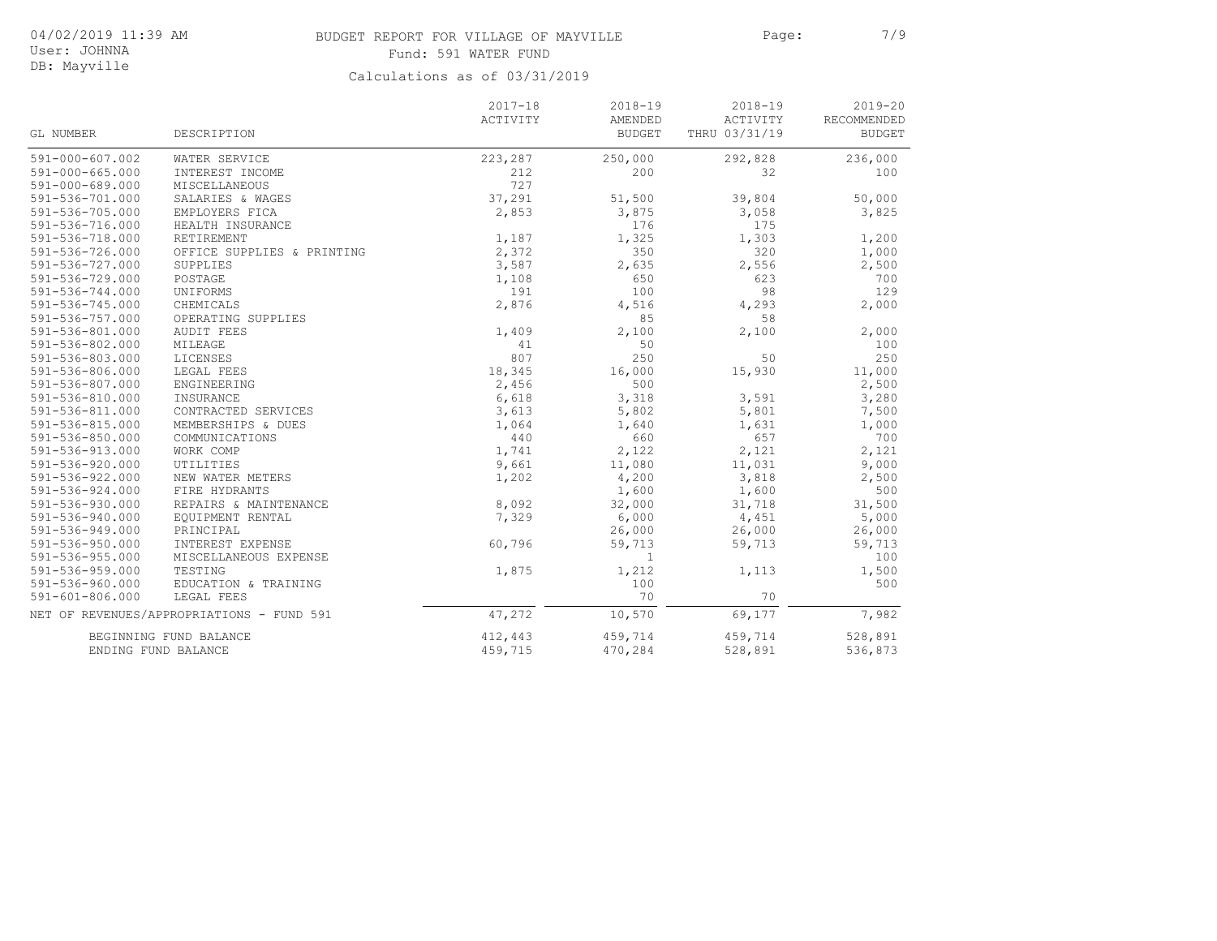# BUDGET REPORT FOR VILLAGE OF MAYVILLE PAGE: Page: 7/9 Fund: 591 WATER FUND

User: JOHNNA DB: Mayville

|                       |                                           | $2017 - 18$ | $2018 - 19$   | $2018 - 19$   | $2019 - 20$   |
|-----------------------|-------------------------------------------|-------------|---------------|---------------|---------------|
|                       |                                           | ACTIVITY    | AMENDED       | ACTIVITY      | RECOMMENDED   |
| GL NUMBER             | DESCRIPTION                               |             | <b>BUDGET</b> | THRU 03/31/19 | <b>BUDGET</b> |
| 591-000-607.002       | WATER SERVICE                             | 223,287     | 250,000       | 292,828       | 236,000       |
| $591 - 000 - 665.000$ | INTEREST INCOME                           | 212         | 200           | 32            | 100           |
| 591-000-689.000       | <b>MISCELLANEOUS</b>                      | 727         |               |               |               |
| 591-536-701.000       | SALARIES & WAGES                          | 37,291      | 51,500        | 39,804        | 50,000        |
| $591 - 536 - 705.000$ | EMPLOYERS FICA                            | 2,853       | 3,875         | 3,058         | 3,825         |
| $591 - 536 - 716.000$ | HEALTH INSURANCE                          |             | 176           | 175           |               |
| 591-536-718.000       | RETIREMENT                                | 1,187       | 1,325         | 1,303         | 1,200         |
| 591-536-726.000       | OFFICE SUPPLIES & PRINTING                | 2,372       | 350           | 320           | 1,000         |
| 591-536-727.000       | SUPPLIES                                  | 3,587       | 2,635         | 2,556         | 2,500         |
| 591-536-729.000       | POSTAGE                                   | 1,108       | 650           | 623           | 700           |
| 591-536-744.000       | UNIFORMS                                  | 191         | 100           | 98            | 129           |
| 591-536-745.000       | CHEMICALS                                 | 2,876       | 4,516         | 4,293         | 2,000         |
| 591-536-757.000       | OPERATING SUPPLIES                        |             | 85            | 58            |               |
| 591-536-801.000       | <b>AUDIT FEES</b>                         | 1,409       | 2,100         | 2,100         | 2,000         |
| $591 - 536 - 802.000$ | MILEAGE                                   | 41          | 50            |               | 100           |
| $591 - 536 - 803.000$ | <b>LICENSES</b>                           | 807         | 250           | 50            | 250           |
| 591-536-806.000       | LEGAL FEES                                | 18,345      | 16,000        | 15,930        | 11,000        |
| $591 - 536 - 807.000$ | ENGINEERING                               | 2,456       | 500           |               | 2,500         |
| 591-536-810.000       | INSURANCE                                 | 6,618       | 3,318         | 3,591         | 3,280         |
| 591-536-811.000       | CONTRACTED SERVICES                       | 3,613       | 5,802         | 5,801         | 7,500         |
| $591 - 536 - 815.000$ | MEMBERSHIPS & DUES                        | 1,064       | 1,640         | 1,631         | 1,000         |
| 591-536-850.000       | COMMUNICATIONS                            | 440         | 660           | 657           | 700           |
| 591-536-913.000       | WORK COMP                                 | 1,741       | 2,122         | 2,121         | 2,121         |
| $591 - 536 - 920.000$ | UTILITIES                                 | 9,661       | 11,080        | 11,031        | 9,000         |
| 591-536-922.000       | NEW WATER METERS                          | 1,202       | 4,200         | 3,818         | 2,500         |
| 591-536-924.000       | FIRE HYDRANTS                             |             | 1,600         | 1,600         | 500           |
| 591-536-930.000       | REPAIRS & MAINTENANCE                     | 8,092       | 32,000        | 31,718        | 31,500        |
| 591-536-940.000       | EQUIPMENT RENTAL                          | 7,329       | 6,000         | 4,451         | 5,000         |
| 591-536-949.000       | PRINCIPAL                                 |             | 26,000        | 26,000        | 26,000        |
| 591-536-950.000       | INTEREST EXPENSE                          | 60,796      | 59,713        | 59,713        | 59,713        |
| 591-536-955.000       | MISCELLANEOUS EXPENSE                     |             | 1             |               | 100           |
| 591-536-959.000       | TESTING                                   | 1,875       | 1,212         | 1,113         | 1,500         |
| 591-536-960.000       | EDUCATION & TRAINING                      |             | 100           |               | 500           |
| $591 - 601 - 806.000$ | LEGAL FEES                                |             | 70            | 70            |               |
|                       | NET OF REVENUES/APPROPRIATIONS - FUND 591 | 47,272      | 10,570        | 69,177        | 7,982         |
|                       | BEGINNING FUND BALANCE                    | 412,443     | 459,714       | 459,714       | 528,891       |
|                       | ENDING FUND BALANCE                       | 459,715     | 470,284       | 528,891       | 536,873       |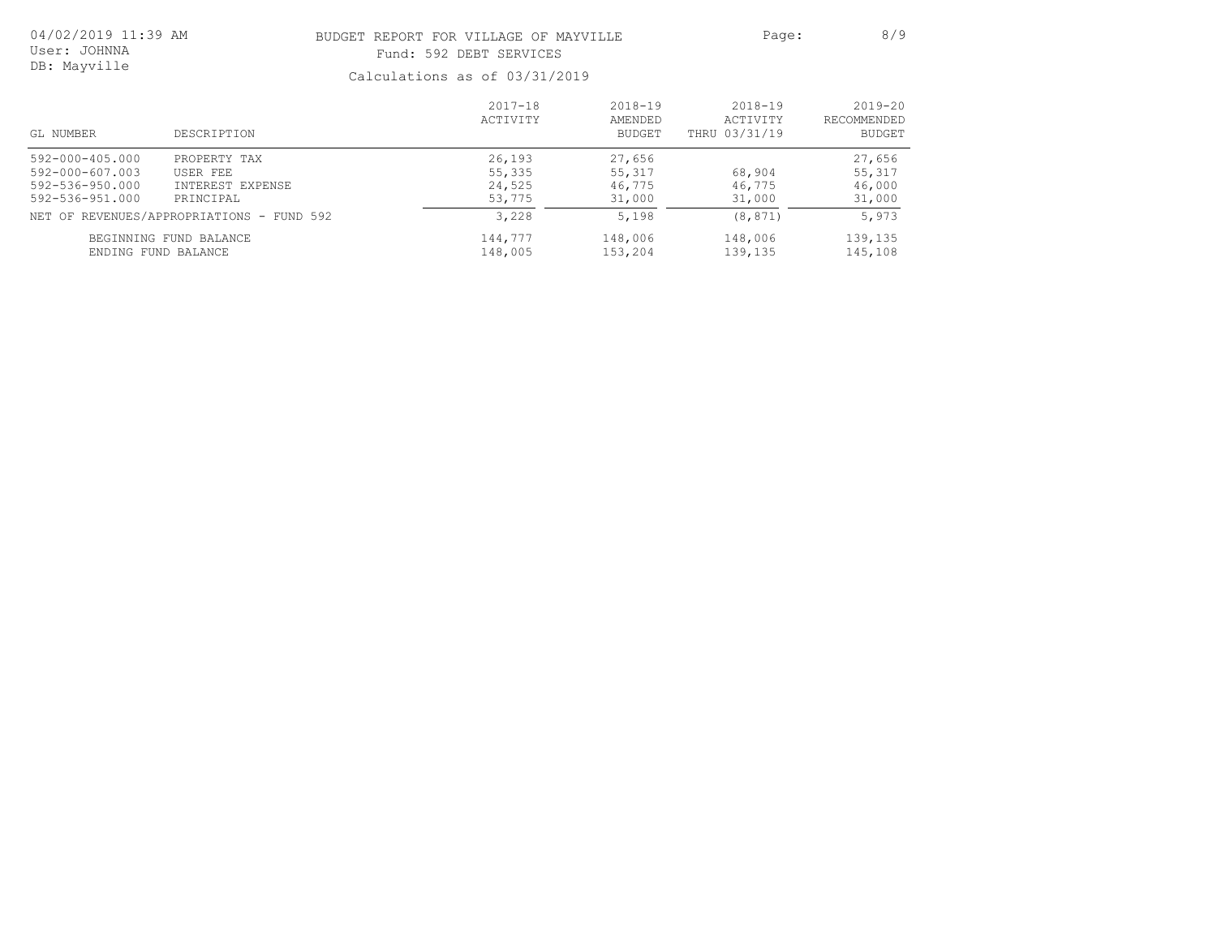| 04/02/2019 11:39 AM | BUDGET REPORT FOR VILLAGE OF MAYVILLE                                                                                                                                                                                                                        | Page: | 8/9 |
|---------------------|--------------------------------------------------------------------------------------------------------------------------------------------------------------------------------------------------------------------------------------------------------------|-------|-----|
| User: JOHNNA        | Fund: 592 DEBT SERVICES                                                                                                                                                                                                                                      |       |     |
| DB: Mayville        | $C_{2}$ ] au $1 - 1 - 1$ and $2 - 1 - 1$ and $2 - 1 - 1$ and $2 - 1 - 1$ and $2 - 1 - 1$ and $2 - 1 - 1$ and $2 - 1 - 1$ and $2 - 1 - 1$ and $2 - 1 - 1$ and $2 - 1 - 1$ and $2 - 1 - 1$ and $3 - 1 - 1$ and $4 - 1 - 1$ and $5 - 1 - 1$ and $6 - 1 - 1$ and |       |     |

| GL NUMBER                                                                | DESCRIPTION                                                         | $2017 - 18$<br>ACTIVITY              | $2018 - 19$<br>AMENDED<br>BUDGET     | $2018 - 19$<br>ACTIVITY<br>THRU 03/31/19 | $2019 - 20$<br><b>RECOMMENDED</b><br>BUDGET |
|--------------------------------------------------------------------------|---------------------------------------------------------------------|--------------------------------------|--------------------------------------|------------------------------------------|---------------------------------------------|
| 592-000-405.000<br>592-000-607.003<br>592-536-950.000<br>592-536-951.000 | PROPERTY TAX<br>USER FEE<br>INTEREST EXPENSE<br>PRINCIPAL           | 26,193<br>55,335<br>24,525<br>53,775 | 27,656<br>55,317<br>46,775<br>31,000 | 68,904<br>46,775<br>31,000               | 27,656<br>55,317<br>46,000<br>31,000        |
| ENDING FUND BALANCE                                                      | NET OF REVENUES/APPROPRIATIONS - FUND 592<br>BEGINNING FUND BALANCE | 3,228<br>144,777<br>148,005          | 5,198<br>148,006<br>153,204          | (8, 871)<br>148,006<br>139,135           | 5,973<br>139,135<br>145,108                 |